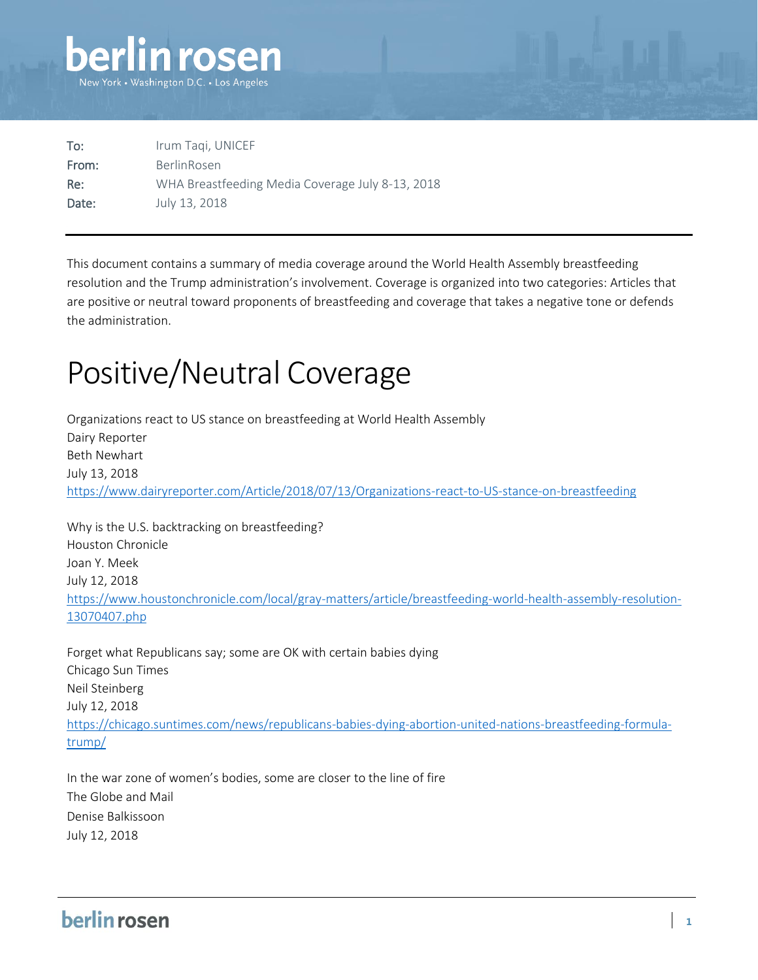

| To:   | Irum Tagi, UNICEF                                |
|-------|--------------------------------------------------|
| From: | <b>BerlinRosen</b>                               |
| Re:   | WHA Breastfeeding Media Coverage July 8-13, 2018 |
| Date: | July 13, 2018                                    |

This document contains a summary of media coverage around the World Health Assembly breastfeeding resolution and the Trump administration's involvement. Coverage is organized into two categories: Articles that are positive or neutral toward proponents of breastfeeding and coverage that takes a negative tone or defends the administration.

# Positive/Neutral Coverage

Organizations react to US stance on breastfeeding at World Health Assembly Dairy Reporter Beth Newhart July 13, 2018 <https://www.dairyreporter.com/Article/2018/07/13/Organizations-react-to-US-stance-on-breastfeeding>

Why is the U.S. backtracking on breastfeeding? Houston Chronicle Joan Y. Meek July 12, 2018 [https://www.houstonchronicle.com/local/gray-matters/article/breastfeeding-world-health-assembly-resolution-](https://www.houstonchronicle.com/local/gray-matters/article/breastfeeding-world-health-assembly-resolution-13070407.php)[13070407.php](https://www.houstonchronicle.com/local/gray-matters/article/breastfeeding-world-health-assembly-resolution-13070407.php)

Forget what Republicans say; some are OK with certain babies dying Chicago Sun Times Neil Steinberg July 12, 2018 [https://chicago.suntimes.com/news/republicans-babies-dying-abortion-united-nations-breastfeeding-formula](https://chicago.suntimes.com/news/republicans-babies-dying-abortion-united-nations-breastfeeding-formula-trump/)[trump/](https://chicago.suntimes.com/news/republicans-babies-dying-abortion-united-nations-breastfeeding-formula-trump/)

In the war zone of women's bodies, some are closer to the line of fire The Globe and Mail Denise Balkissoon July 12, 2018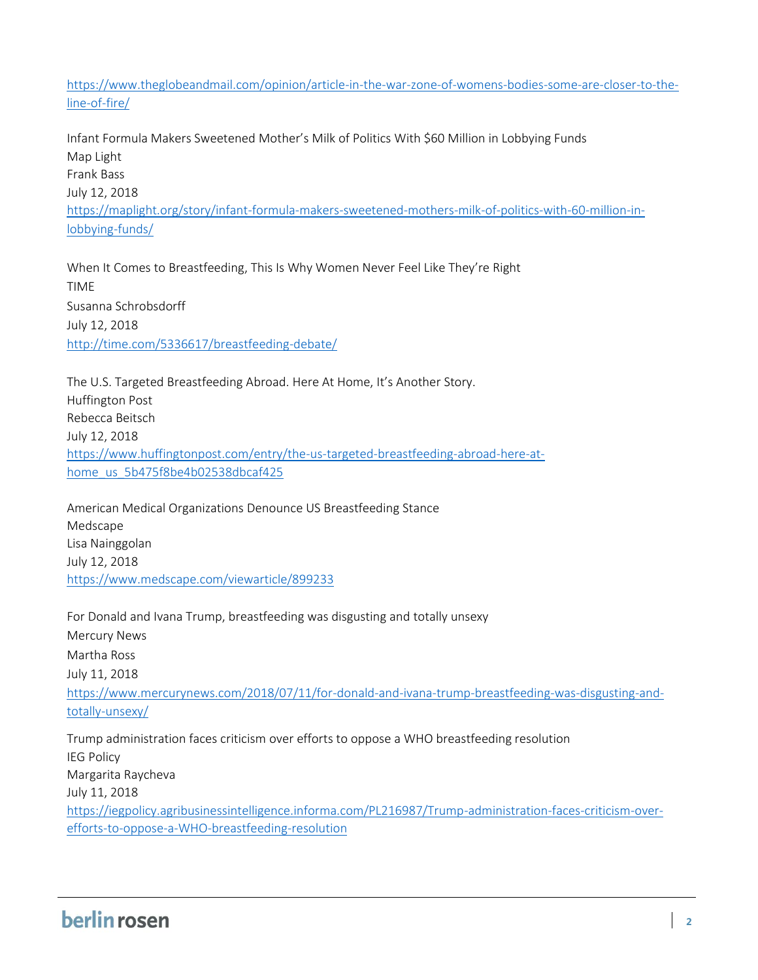[https://www.theglobeandmail.com/opinion/article-in-the-war-zone-of-womens-bodies-some-are-closer-to-the](https://www.theglobeandmail.com/opinion/article-in-the-war-zone-of-womens-bodies-some-are-closer-to-the-line-of-fire/)[line-of-fire/](https://www.theglobeandmail.com/opinion/article-in-the-war-zone-of-womens-bodies-some-are-closer-to-the-line-of-fire/)

Infant Formula Makers Sweetened Mother's Milk of Politics With \$60 Million in Lobbying Funds Map Light Frank Bass July 12, 2018 [https://maplight.org/story/infant-formula-makers-sweetened-mothers-milk-of-politics-with-60-million-in](https://maplight.org/story/infant-formula-makers-sweetened-mothers-milk-of-politics-with-60-million-in-lobbying-funds/)[lobbying-funds/](https://maplight.org/story/infant-formula-makers-sweetened-mothers-milk-of-politics-with-60-million-in-lobbying-funds/)

When It Comes to Breastfeeding, This Is Why Women Never Feel Like They're Right TIME Susanna Schrobsdorff July 12, 2018 <http://time.com/5336617/breastfeeding-debate/>

The U.S. Targeted Breastfeeding Abroad. Here At Home, It's Another Story. Huffington Post Rebecca Beitsch July 12, 2018 [https://www.huffingtonpost.com/entry/the-us-targeted-breastfeeding-abroad-here-at](https://www.huffingtonpost.com/entry/the-us-targeted-breastfeeding-abroad-here-at-home_us_5b475f8be4b02538dbcaf425)[home\\_us\\_5b475f8be4b02538dbcaf425](https://www.huffingtonpost.com/entry/the-us-targeted-breastfeeding-abroad-here-at-home_us_5b475f8be4b02538dbcaf425)

American Medical Organizations Denounce US Breastfeeding Stance Medscape Lisa Nainggolan July 12, 2018 <https://www.medscape.com/viewarticle/899233>

For Donald and Ivana Trump, breastfeeding was disgusting and totally unsexy Mercury News Martha Ross July 11, 2018 [https://www.mercurynews.com/2018/07/11/for-donald-and-ivana-trump-breastfeeding-was-disgusting-and](https://www.mercurynews.com/2018/07/11/for-donald-and-ivana-trump-breastfeeding-was-disgusting-and-totally-unsexy/)[totally-unsexy/](https://www.mercurynews.com/2018/07/11/for-donald-and-ivana-trump-breastfeeding-was-disgusting-and-totally-unsexy/) Trump administration faces criticism over efforts to oppose a WHO breastfeeding resolution IEG Policy Margarita Raycheva July 11, 2018 [https://iegpolicy.agribusinessintelligence.informa.com/PL216987/Trump-administration-faces-criticism-over-](https://iegpolicy.agribusinessintelligence.informa.com/PL216987/Trump-administration-faces-criticism-over-efforts-to-oppose-a-WHO-breastfeeding-resolution)

[efforts-to-oppose-a-WHO-breastfeeding-resolution](https://iegpolicy.agribusinessintelligence.informa.com/PL216987/Trump-administration-faces-criticism-over-efforts-to-oppose-a-WHO-breastfeeding-resolution)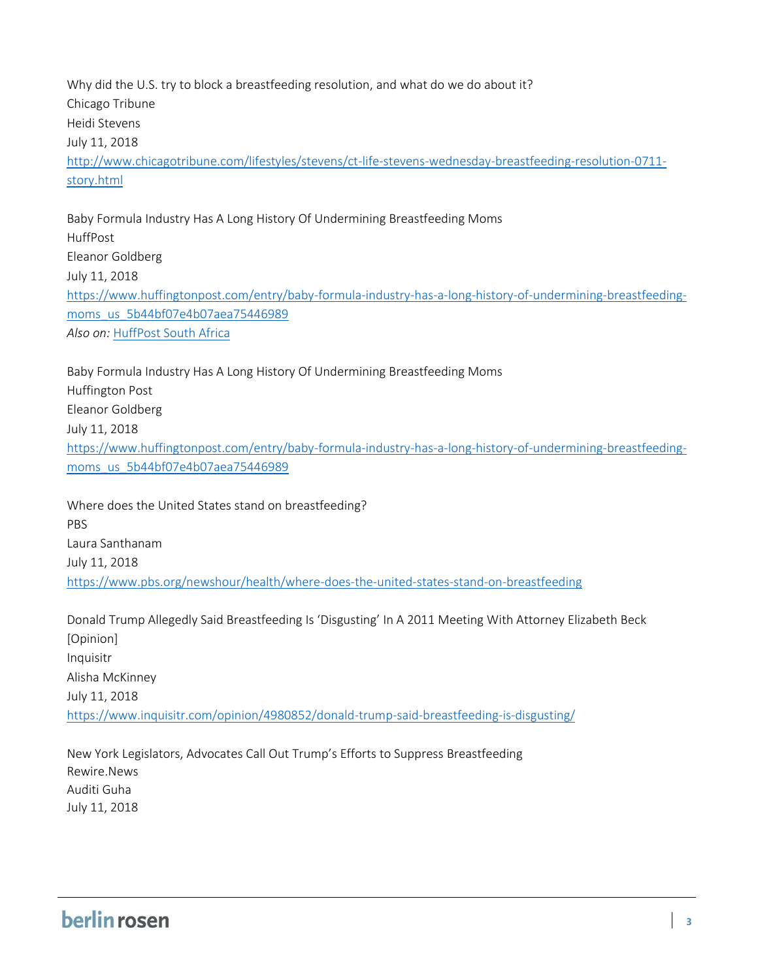Why did the U.S. try to block a breastfeeding resolution, and what do we do about it? Chicago Tribune Heidi Stevens July 11, 2018 [http://www.chicagotribune.com/lifestyles/stevens/ct-life-stevens-wednesday-breastfeeding-resolution-0711](http://www.chicagotribune.com/lifestyles/stevens/ct-life-stevens-wednesday-breastfeeding-resolution-0711-story.html) [story.html](http://www.chicagotribune.com/lifestyles/stevens/ct-life-stevens-wednesday-breastfeeding-resolution-0711-story.html)

Baby Formula Industry Has A Long History Of Undermining Breastfeeding Moms HuffPost Eleanor Goldberg July 11, 2018 [https://www.huffingtonpost.com/entry/baby-formula-industry-has-a-long-history-of-undermining-breastfeeding](https://www.huffingtonpost.com/entry/baby-formula-industry-has-a-long-history-of-undermining-breastfeeding-moms_us_5b44bf07e4b07aea75446989)[moms\\_us\\_5b44bf07e4b07aea75446989](https://www.huffingtonpost.com/entry/baby-formula-industry-has-a-long-history-of-undermining-breastfeeding-moms_us_5b44bf07e4b07aea75446989) Also on: [HuffPost South Africa](https://www.huffingtonpost.co.za/2018/07/12/baby-formula-industry-has-a-long-history-of-undermining-breastfeeding-moms_a_23480188/?utm_hp_ref=za-lifestyle)

Baby Formula Industry Has A Long History Of Undermining Breastfeeding Moms Huffington Post Eleanor Goldberg July 11, 2018 [https://www.huffingtonpost.com/entry/baby-formula-industry-has-a-long-history-of-undermining-breastfeeding](https://www.huffingtonpost.com/entry/baby-formula-industry-has-a-long-history-of-undermining-breastfeeding-moms_us_5b44bf07e4b07aea75446989)[moms\\_us\\_5b44bf07e4b07aea75446989](https://www.huffingtonpost.com/entry/baby-formula-industry-has-a-long-history-of-undermining-breastfeeding-moms_us_5b44bf07e4b07aea75446989)

Where does the United States stand on breastfeeding? PBS Laura Santhanam July 11, 2018 <https://www.pbs.org/newshour/health/where-does-the-united-states-stand-on-breastfeeding>

Donald Trump Allegedly Said Breastfeeding Is 'Disgusting' In A 2011 Meeting With Attorney Elizabeth Beck [Opinion] Inquisitr Alisha McKinney July 11, 2018 <https://www.inquisitr.com/opinion/4980852/donald-trump-said-breastfeeding-is-disgusting/>

New York Legislators, Advocates Call Out Trump's Efforts to Suppress Breastfeeding Rewire.News Auditi Guha July 11, 2018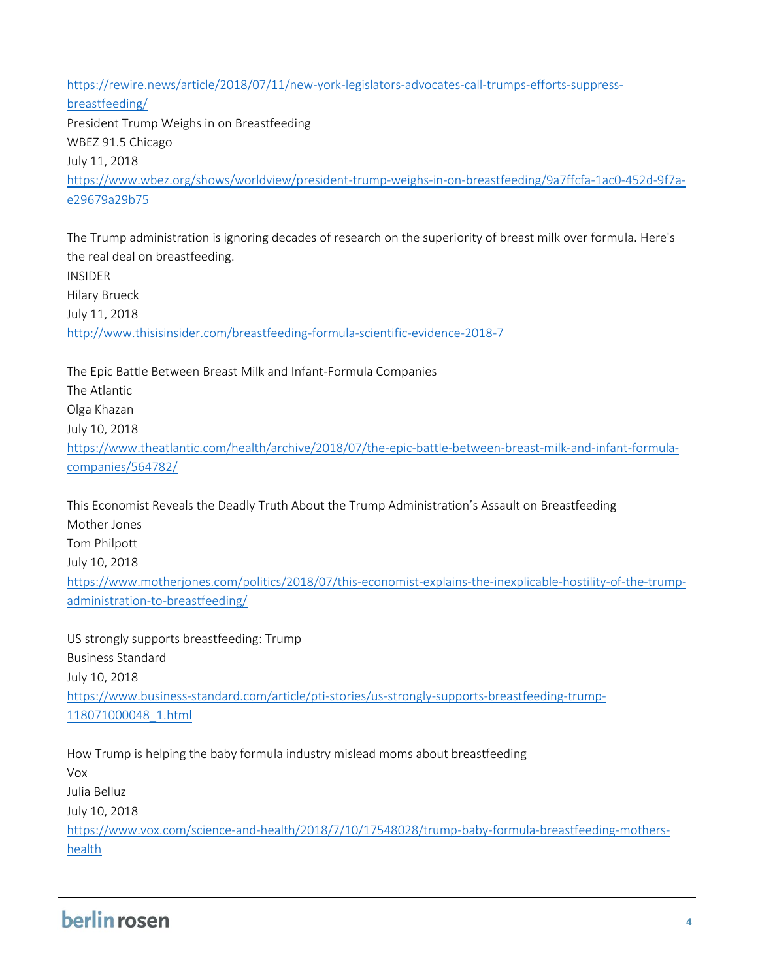[https://rewire.news/article/2018/07/11/new-york-legislators-advocates-call-trumps-efforts-suppress](https://rewire.news/article/2018/07/11/new-york-legislators-advocates-call-trumps-efforts-suppress-breastfeeding/)[breastfeeding/](https://rewire.news/article/2018/07/11/new-york-legislators-advocates-call-trumps-efforts-suppress-breastfeeding/) President Trump Weighs in on Breastfeeding WBEZ 91.5 Chicago July 11, 2018 [https://www.wbez.org/shows/worldview/president-trump-weighs-in-on-breastfeeding/9a7ffcfa-1ac0-452d-9f7a](https://www.wbez.org/shows/worldview/president-trump-weighs-in-on-breastfeeding/9a7ffcfa-1ac0-452d-9f7a-e29679a29b75)[e29679a29b75](https://www.wbez.org/shows/worldview/president-trump-weighs-in-on-breastfeeding/9a7ffcfa-1ac0-452d-9f7a-e29679a29b75)

The Trump administration is ignoring decades of research on the superiority of breast milk over formula. Here's the real deal on breastfeeding. INSIDER Hilary Brueck July 11, 2018 <http://www.thisisinsider.com/breastfeeding-formula-scientific-evidence-2018-7>

The Epic Battle Between Breast Milk and Infant-Formula Companies The Atlantic Olga Khazan July 10, 2018 [https://www.theatlantic.com/health/archive/2018/07/the-epic-battle-between-breast-milk-and-infant-formula](https://www.theatlantic.com/health/archive/2018/07/the-epic-battle-between-breast-milk-and-infant-formula-companies/564782/)[companies/564782/](https://www.theatlantic.com/health/archive/2018/07/the-epic-battle-between-breast-milk-and-infant-formula-companies/564782/)

This Economist Reveals the Deadly Truth About the Trump Administration's Assault on Breastfeeding Mother Jones Tom Philpott July 10, 2018 [https://www.motherjones.com/politics/2018/07/this-economist-explains-the-inexplicable-hostility-of-the-trump](https://www.motherjones.com/politics/2018/07/this-economist-explains-the-inexplicable-hostility-of-the-trump-administration-to-breastfeeding/)[administration-to-breastfeeding/](https://www.motherjones.com/politics/2018/07/this-economist-explains-the-inexplicable-hostility-of-the-trump-administration-to-breastfeeding/)

US strongly supports breastfeeding: Trump Business Standard July 10, 2018 [https://www.business-standard.com/article/pti-stories/us-strongly-supports-breastfeeding-trump-](https://www.business-standard.com/article/pti-stories/us-strongly-supports-breastfeeding-trump-118071000048_1.html)[118071000048\\_1.html](https://www.business-standard.com/article/pti-stories/us-strongly-supports-breastfeeding-trump-118071000048_1.html)

How Trump is helping the baby formula industry mislead moms about breastfeeding Vox Julia Belluz July 10, 2018 [https://www.vox.com/science-and-health/2018/7/10/17548028/trump-baby-formula-breastfeeding-mothers](https://www.vox.com/science-and-health/2018/7/10/17548028/trump-baby-formula-breastfeeding-mothers-health)[health](https://www.vox.com/science-and-health/2018/7/10/17548028/trump-baby-formula-breastfeeding-mothers-health)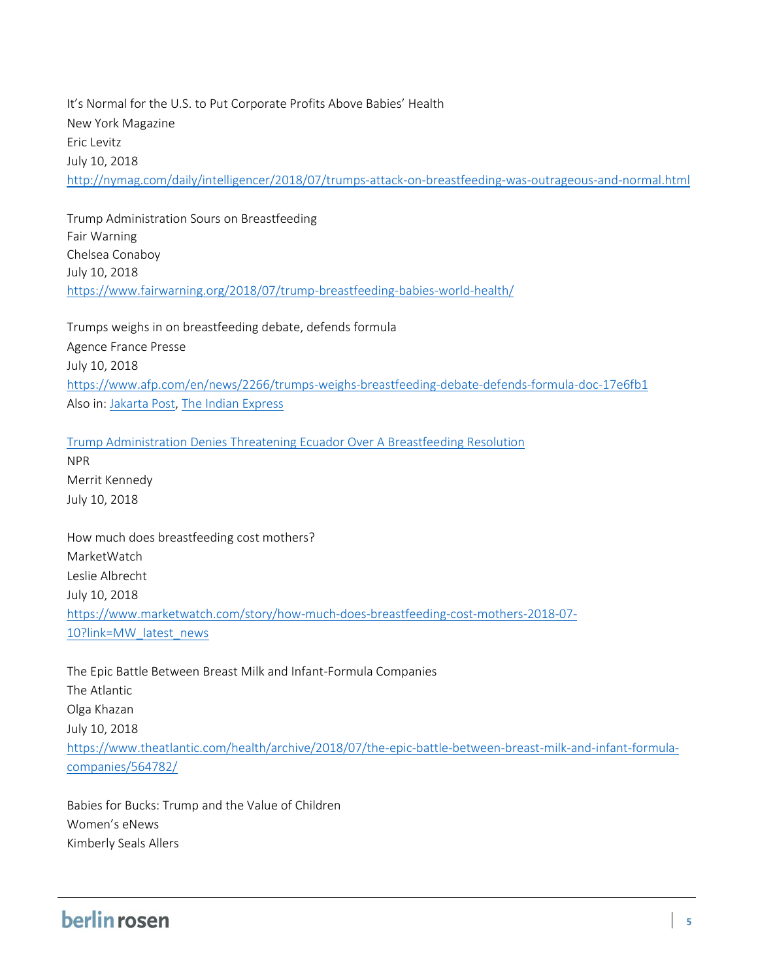It's Normal for the U.S. to Put Corporate Profits Above Babies' Health New York Magazine Eric Levitz July 10, 2018 <http://nymag.com/daily/intelligencer/2018/07/trumps-attack-on-breastfeeding-was-outrageous-and-normal.html>

Trump Administration Sours on Breastfeeding Fair Warning Chelsea Conaboy July 10, 2018 <https://www.fairwarning.org/2018/07/trump-breastfeeding-babies-world-health/>

Trumps weighs in on breastfeeding debate, defends formula Agence France Presse July 10, 2018 <https://www.afp.com/en/news/2266/trumps-weighs-breastfeeding-debate-defends-formula-doc-17e6fb1> Also in[: Jakarta Post,](http://www.thejakartapost.com/news/2018/07/10/trumps-weighs-in-on-breastfeeding-debate-defends-formula.html) [The Indian Express](http://www.newindianexpress.com/world/2018/jul/10/trump-weighs-in-on-breastfeeding-debate-defends-formula-1841061.html)

[Trump Administration Denies Threatening Ecuador Over A Breastfeeding Resolution](https://www.npr.org/2018/07/10/627647536/did-the-u-s-threaten-ecuador-over-a-breastfeeding-resolution)

NPR Merrit Kennedy July 10, 2018

How much does breastfeeding cost mothers? MarketWatch Leslie Albrecht July 10, 2018 [https://www.marketwatch.com/story/how-much-does-breastfeeding-cost-mothers-2018-07-](https://www.marketwatch.com/story/how-much-does-breastfeeding-cost-mothers-2018-07-10?link=MW_latest_news) [10?link=MW\\_latest\\_news](https://www.marketwatch.com/story/how-much-does-breastfeeding-cost-mothers-2018-07-10?link=MW_latest_news)

The Epic Battle Between Breast Milk and Infant-Formula Companies The Atlantic Olga Khazan July 10, 2018 [https://www.theatlantic.com/health/archive/2018/07/the-epic-battle-between-breast-milk-and-infant-formula](https://www.theatlantic.com/health/archive/2018/07/the-epic-battle-between-breast-milk-and-infant-formula-companies/564782/)[companies/564782/](https://www.theatlantic.com/health/archive/2018/07/the-epic-battle-between-breast-milk-and-infant-formula-companies/564782/)

Babies for Bucks: Trump and the Value of Children Women's eNews Kimberly Seals Allers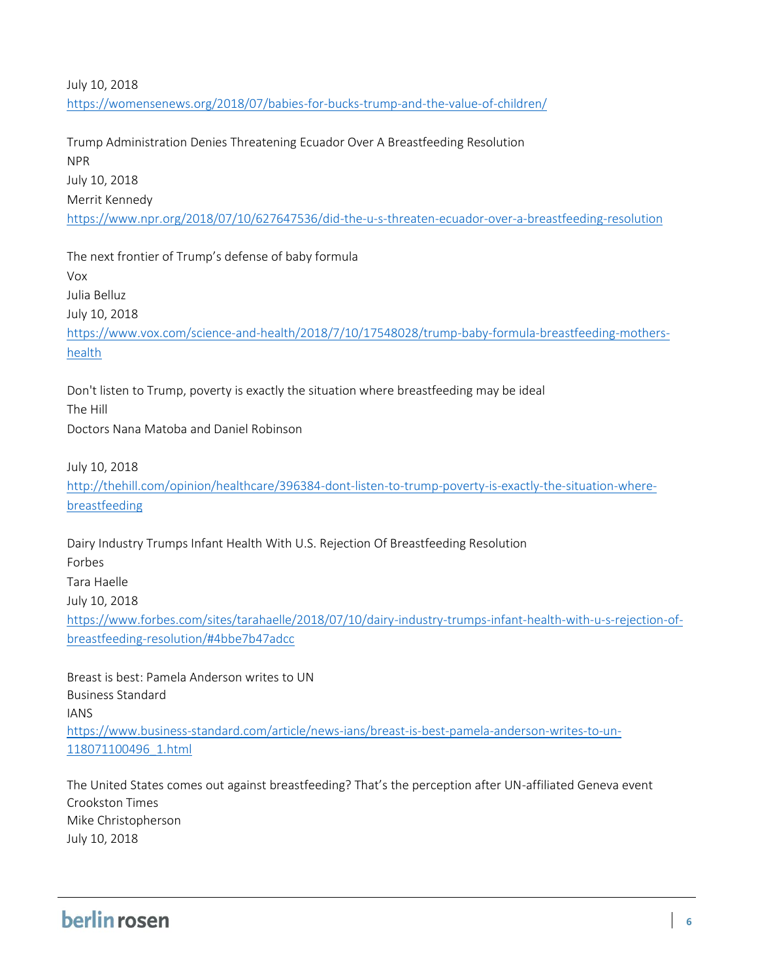### July 10, 2018 <https://womensenews.org/2018/07/babies-for-bucks-trump-and-the-value-of-children/>

Trump Administration Denies Threatening Ecuador Over A Breastfeeding Resolution NPR July 10, 2018 Merrit Kennedy <https://www.npr.org/2018/07/10/627647536/did-the-u-s-threaten-ecuador-over-a-breastfeeding-resolution>

The next frontier of Trump's defense of baby formula Vox Julia Belluz July 10, 2018 [https://www.vox.com/science-and-health/2018/7/10/17548028/trump-baby-formula-breastfeeding-mothers](https://www.vox.com/science-and-health/2018/7/10/17548028/trump-baby-formula-breastfeeding-mothers-health)[health](https://www.vox.com/science-and-health/2018/7/10/17548028/trump-baby-formula-breastfeeding-mothers-health)

Don't listen to Trump, poverty is exactly the situation where breastfeeding may be ideal The Hill Doctors Nana Matoba and Daniel Robinson

July 10, 2018

[http://thehill.com/opinion/healthcare/396384-dont-listen-to-trump-poverty-is-exactly-the-situation-where](http://thehill.com/opinion/healthcare/396384-dont-listen-to-trump-poverty-is-exactly-the-situation-where-breastfeeding)[breastfeeding](http://thehill.com/opinion/healthcare/396384-dont-listen-to-trump-poverty-is-exactly-the-situation-where-breastfeeding)

Dairy Industry Trumps Infant Health With U.S. Rejection Of Breastfeeding Resolution Forbes Tara Haelle July 10, 2018 [https://www.forbes.com/sites/tarahaelle/2018/07/10/dairy-industry-trumps-infant-health-with-u-s-rejection-of](https://www.forbes.com/sites/tarahaelle/2018/07/10/dairy-industry-trumps-infant-health-with-u-s-rejection-of-breastfeeding-resolution/#4bbe7b47adcc)[breastfeeding-resolution/#4bbe7b47adcc](https://www.forbes.com/sites/tarahaelle/2018/07/10/dairy-industry-trumps-infant-health-with-u-s-rejection-of-breastfeeding-resolution/#4bbe7b47adcc)

Breast is best: Pamela Anderson writes to UN Business Standard IANS [https://www.business-standard.com/article/news-ians/breast-is-best-pamela-anderson-writes-to-un-](https://www.business-standard.com/article/news-ians/breast-is-best-pamela-anderson-writes-to-un-118071100496_1.html)[118071100496\\_1.html](https://www.business-standard.com/article/news-ians/breast-is-best-pamela-anderson-writes-to-un-118071100496_1.html)

The United States comes out against breastfeeding? That's the perception after UN-affiliated Geneva event Crookston Times Mike Christopherson July 10, 2018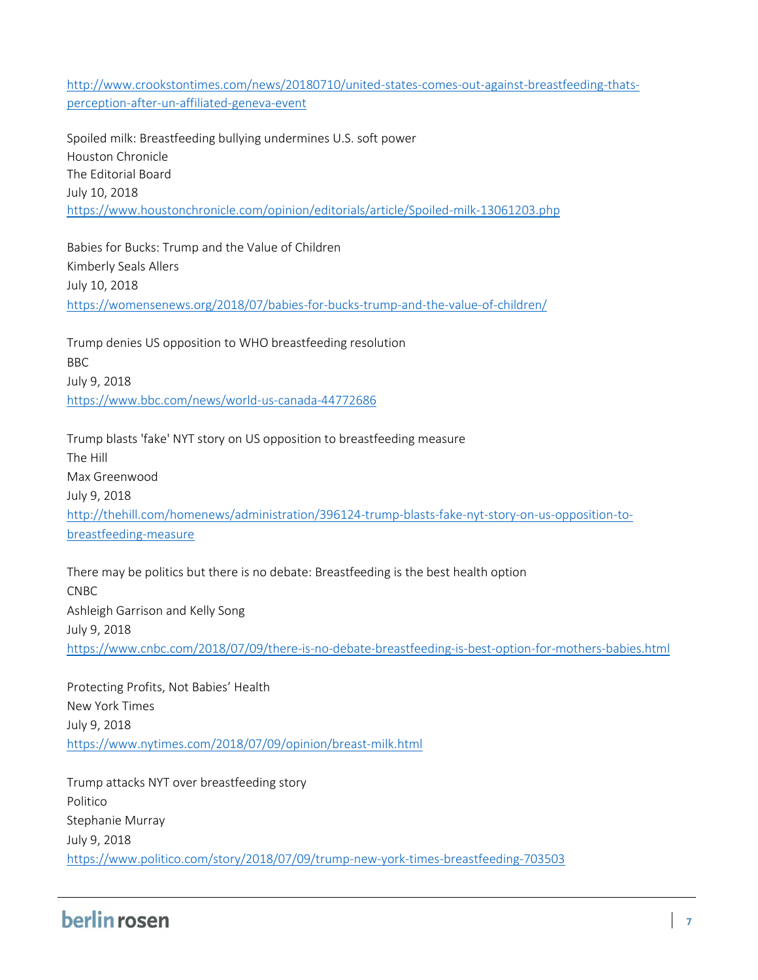[http://www.crookstontimes.com/news/20180710/united-states-comes-out-against-breastfeeding-thats](http://www.crookstontimes.com/news/20180710/united-states-comes-out-against-breastfeeding-thats-perception-after-un-affiliated-geneva-event)[perception-after-un-affiliated-geneva-event](http://www.crookstontimes.com/news/20180710/united-states-comes-out-against-breastfeeding-thats-perception-after-un-affiliated-geneva-event)

Spoiled milk: Breastfeeding bullying undermines U.S. soft power Houston Chronicle The Editorial Board July 10, 2018 <https://www.houstonchronicle.com/opinion/editorials/article/Spoiled-milk-13061203.php>

Babies for Bucks: Trump and the Value of Children Kimberly Seals Allers July 10, 2018 <https://womensenews.org/2018/07/babies-for-bucks-trump-and-the-value-of-children/>

Trump denies US opposition to WHO breastfeeding resolution BBC July 9, 2018 <https://www.bbc.com/news/world-us-canada-44772686>

Trump blasts 'fake' NYT story on US opposition to breastfeeding measure The Hill Max Greenwood July 9, 2018 [http://thehill.com/homenews/administration/396124-trump-blasts-fake-nyt-story-on-us-opposition-to](http://thehill.com/homenews/administration/396124-trump-blasts-fake-nyt-story-on-us-opposition-to-breastfeeding-measure)[breastfeeding-measure](http://thehill.com/homenews/administration/396124-trump-blasts-fake-nyt-story-on-us-opposition-to-breastfeeding-measure)

There may be politics but there is no debate: Breastfeeding is the best health option CNBC Ashleigh Garrison and Kelly Song July 9, 2018 <https://www.cnbc.com/2018/07/09/there-is-no-debate-breastfeeding-is-best-option-for-mothers-babies.html>

Protecting Profits, Not Babies' Health New York Times July 9, 2018 <https://www.nytimes.com/2018/07/09/opinion/breast-milk.html>

Trump attacks NYT over breastfeeding story Politico Stephanie Murray July 9, 2018 <https://www.politico.com/story/2018/07/09/trump-new-york-times-breastfeeding-703503>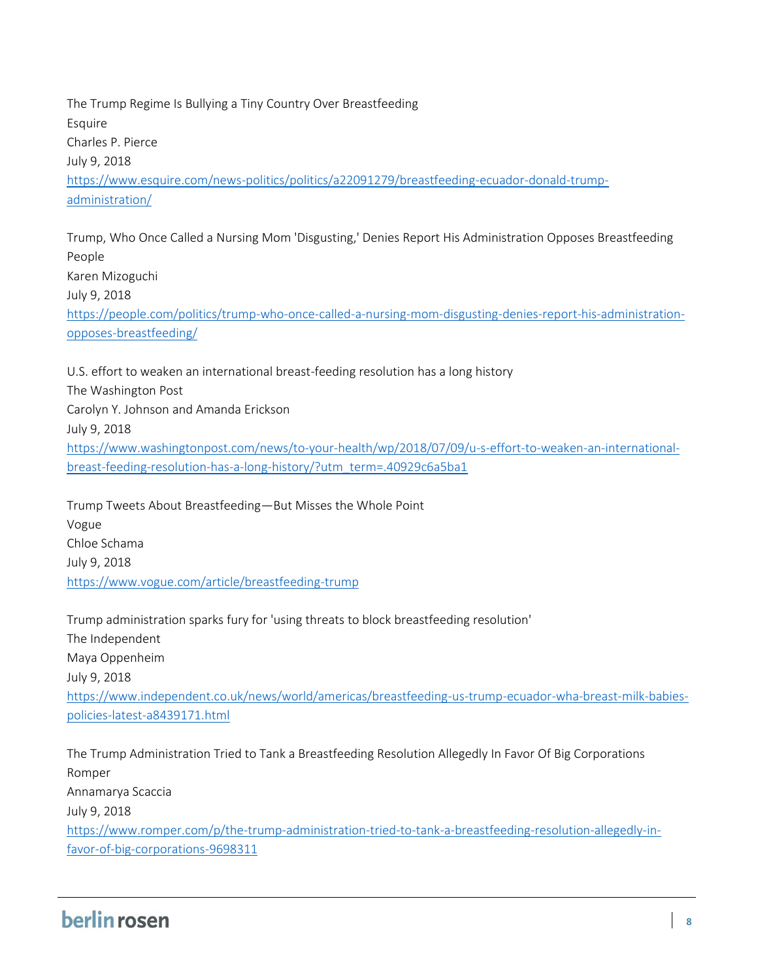The Trump Regime Is Bullying a Tiny Country Over Breastfeeding Esquire Charles P. Pierce July 9, 2018 [https://www.esquire.com/news-politics/politics/a22091279/breastfeeding-ecuador-donald-trump](https://www.esquire.com/news-politics/politics/a22091279/breastfeeding-ecuador-donald-trump-administration/)[administration/](https://www.esquire.com/news-politics/politics/a22091279/breastfeeding-ecuador-donald-trump-administration/)

Trump, Who Once Called a Nursing Mom 'Disgusting,' Denies Report His Administration Opposes Breastfeeding People Karen Mizoguchi July 9, 2018 [https://people.com/politics/trump-who-once-called-a-nursing-mom-disgusting-denies-report-his-administration](https://people.com/politics/trump-who-once-called-a-nursing-mom-disgusting-denies-report-his-administration-opposes-breastfeeding/)[opposes-breastfeeding/](https://people.com/politics/trump-who-once-called-a-nursing-mom-disgusting-denies-report-his-administration-opposes-breastfeeding/)

U.S. effort to weaken an international breast-feeding resolution has a long history The Washington Post Carolyn Y. Johnson and Amanda Erickson July 9, 2018 [https://www.washingtonpost.com/news/to-your-health/wp/2018/07/09/u-s-effort-to-weaken-an-international](https://www.washingtonpost.com/news/to-your-health/wp/2018/07/09/u-s-effort-to-weaken-an-international-breast-feeding-resolution-has-a-long-history/?utm_term=.40929c6a5ba1)[breast-feeding-resolution-has-a-long-history/?utm\\_term=.40929c6a5ba1](https://www.washingtonpost.com/news/to-your-health/wp/2018/07/09/u-s-effort-to-weaken-an-international-breast-feeding-resolution-has-a-long-history/?utm_term=.40929c6a5ba1)

Trump Tweets About Breastfeeding—But Misses the Whole Point Vogue Chloe Schama July 9, 2018 <https://www.vogue.com/article/breastfeeding-trump>

Trump administration sparks fury for 'using threats to block breastfeeding resolution' The Independent Maya Oppenheim July 9, 2018 [https://www.independent.co.uk/news/world/americas/breastfeeding-us-trump-ecuador-wha-breast-milk-babies](https://www.independent.co.uk/news/world/americas/breastfeeding-us-trump-ecuador-wha-breast-milk-babies-policies-latest-a8439171.html)[policies-latest-a8439171.html](https://www.independent.co.uk/news/world/americas/breastfeeding-us-trump-ecuador-wha-breast-milk-babies-policies-latest-a8439171.html)

The Trump Administration Tried to Tank a Breastfeeding Resolution Allegedly In Favor Of Big Corporations Romper Annamarya Scaccia July 9, 2018 [https://www.romper.com/p/the-trump-administration-tried-to-tank-a-breastfeeding-resolution-allegedly-in](https://www.romper.com/p/the-trump-administration-tried-to-tank-a-breastfeeding-resolution-allegedly-in-favor-of-big-corporations-9698311)[favor-of-big-corporations-9698311](https://www.romper.com/p/the-trump-administration-tried-to-tank-a-breastfeeding-resolution-allegedly-in-favor-of-big-corporations-9698311)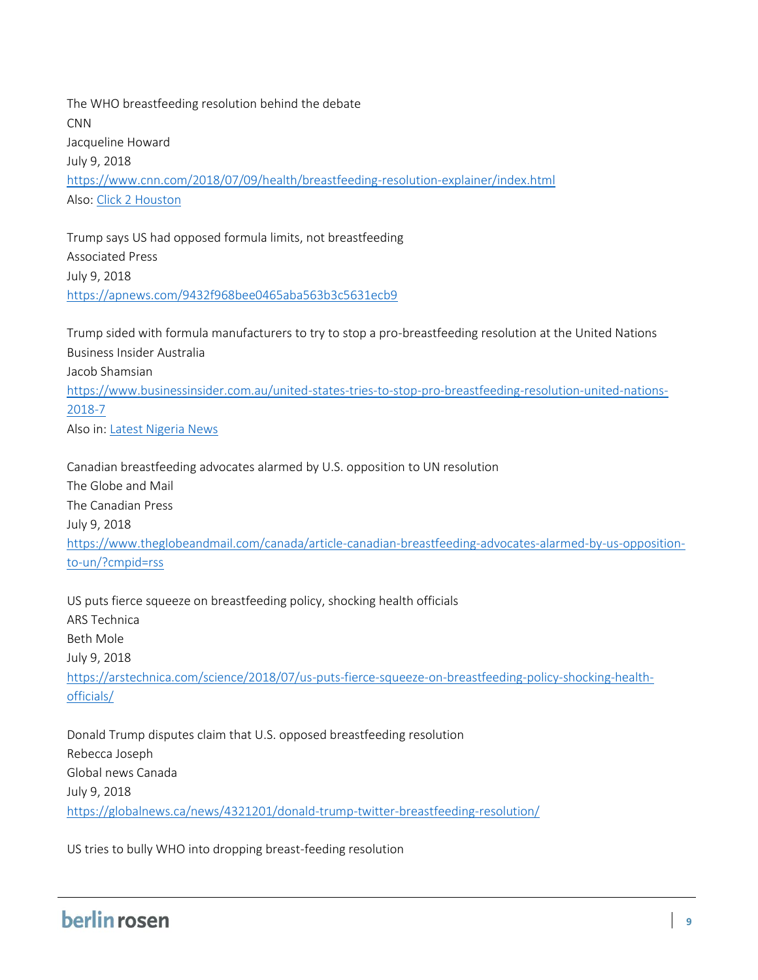The WHO breastfeeding resolution behind the debate CNN Jacqueline Howard July 9, 2018 <https://www.cnn.com/2018/07/09/health/breastfeeding-resolution-explainer/index.html> Also: [Click 2 Houston](https://www.click2houston.com/health/the-who-breastfeeding-resolution-behind-the-debate)

Trump says US had opposed formula limits, not breastfeeding Associated Press July 9, 2018 <https://apnews.com/9432f968bee0465aba563b3c5631ecb9>

Trump sided with formula manufacturers to try to stop a pro-breastfeeding resolution at the United Nations Business Insider Australia Jacob Shamsian [https://www.businessinsider.com.au/united-states-tries-to-stop-pro-breastfeeding-resolution-united-nations-](https://www.businessinsider.com.au/united-states-tries-to-stop-pro-breastfeeding-resolution-united-nations-2018-7)[2018-7](https://www.businessinsider.com.au/united-states-tries-to-stop-pro-breastfeeding-resolution-united-nations-2018-7) Also in[: Latest Nigeria News](https://www.latestnigeriannews.com/news/6057284/trump-sided-with-formula-manufacturers-to-try-to-stop-a-probreastfeeding-resolut.html)

Canadian breastfeeding advocates alarmed by U.S. opposition to UN resolution The Globe and Mail The Canadian Press July 9, 2018 [https://www.theglobeandmail.com/canada/article-canadian-breastfeeding-advocates-alarmed-by-us-opposition](https://www.theglobeandmail.com/canada/article-canadian-breastfeeding-advocates-alarmed-by-us-opposition-to-un/?cmpid=rss)[to-un/?cmpid=rss](https://www.theglobeandmail.com/canada/article-canadian-breastfeeding-advocates-alarmed-by-us-opposition-to-un/?cmpid=rss)

US puts fierce squeeze on breastfeeding policy, shocking health officials ARS Technica Beth Mole July 9, 2018 [https://arstechnica.com/science/2018/07/us-puts-fierce-squeeze-on-breastfeeding-policy-shocking-health](https://arstechnica.com/science/2018/07/us-puts-fierce-squeeze-on-breastfeeding-policy-shocking-health-officials/)[officials/](https://arstechnica.com/science/2018/07/us-puts-fierce-squeeze-on-breastfeeding-policy-shocking-health-officials/)

Donald Trump disputes claim that U.S. opposed breastfeeding resolution Rebecca Joseph Global news Canada July 9, 2018 <https://globalnews.ca/news/4321201/donald-trump-twitter-breastfeeding-resolution/>

US tries to bully WHO into dropping breast-feeding resolution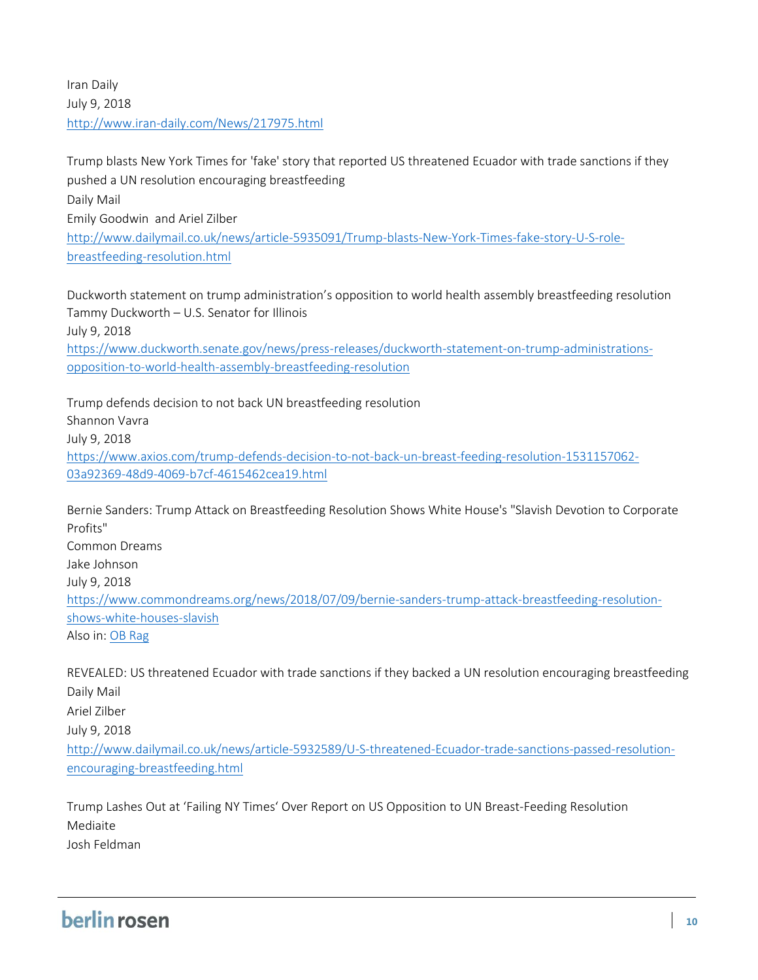Iran Daily July 9, 2018 <http://www.iran-daily.com/News/217975.html>

Trump blasts New York Times for 'fake' story that reported US threatened Ecuador with trade sanctions if they pushed a UN resolution encouraging breastfeeding Daily Mail Emily Goodwin and Ariel Zilber [http://www.dailymail.co.uk/news/article-5935091/Trump-blasts-New-York-Times-fake-story-U-S-role](http://www.dailymail.co.uk/news/article-5935091/Trump-blasts-New-York-Times-fake-story-U-S-role-breastfeeding-resolution.html)[breastfeeding-resolution.html](http://www.dailymail.co.uk/news/article-5935091/Trump-blasts-New-York-Times-fake-story-U-S-role-breastfeeding-resolution.html)

Duckworth statement on trump administration's opposition to world health assembly breastfeeding resolution Tammy Duckworth – U.S. Senator for Illinois July 9, 2018 [https://www.duckworth.senate.gov/news/press-releases/duckworth-statement-on-trump-administrations](https://www.duckworth.senate.gov/news/press-releases/duckworth-statement-on-trump-administrations-opposition-to-world-health-assembly-breastfeeding-resolution)[opposition-to-world-health-assembly-breastfeeding-resolution](https://www.duckworth.senate.gov/news/press-releases/duckworth-statement-on-trump-administrations-opposition-to-world-health-assembly-breastfeeding-resolution)

Trump defends decision to not back UN breastfeeding resolution Shannon Vavra July 9, 2018 [https://www.axios.com/trump-defends-decision-to-not-back-un-breast-feeding-resolution-1531157062-](https://www.axios.com/trump-defends-decision-to-not-back-un-breast-feeding-resolution-1531157062-03a92369-48d9-4069-b7cf-4615462cea19.html) [03a92369-48d9-4069-b7cf-4615462cea19.html](https://www.axios.com/trump-defends-decision-to-not-back-un-breast-feeding-resolution-1531157062-03a92369-48d9-4069-b7cf-4615462cea19.html)

Bernie Sanders: Trump Attack on Breastfeeding Resolution Shows White House's "Slavish Devotion to Corporate Profits" Common Dreams Jake Johnson July 9, 2018 [https://www.commondreams.org/news/2018/07/09/bernie-sanders-trump-attack-breastfeeding-resolution](https://www.commondreams.org/news/2018/07/09/bernie-sanders-trump-attack-breastfeeding-resolution-shows-white-houses-slavish)[shows-white-houses-slavish](https://www.commondreams.org/news/2018/07/09/bernie-sanders-trump-attack-breastfeeding-resolution-shows-white-houses-slavish) Also in: OB [Rag](https://obrag.org/2018/07/u-n-breastfeeding-resolution-opposed-by-trump-administrations-corporate-shills/)

REVEALED: US threatened Ecuador with trade sanctions if they backed a UN resolution encouraging breastfeeding Daily Mail Ariel Zilber July 9, 2018 [http://www.dailymail.co.uk/news/article-5932589/U-S-threatened-Ecuador-trade-sanctions-passed-resolution](http://www.dailymail.co.uk/news/article-5932589/U-S-threatened-Ecuador-trade-sanctions-passed-resolution-encouraging-breastfeeding.html)[encouraging-breastfeeding.html](http://www.dailymail.co.uk/news/article-5932589/U-S-threatened-Ecuador-trade-sanctions-passed-resolution-encouraging-breastfeeding.html)

Trump Lashes Out at 'Failing NY Times' Over Report on US Opposition to UN Breast-Feeding Resolution Mediaite Josh Feldman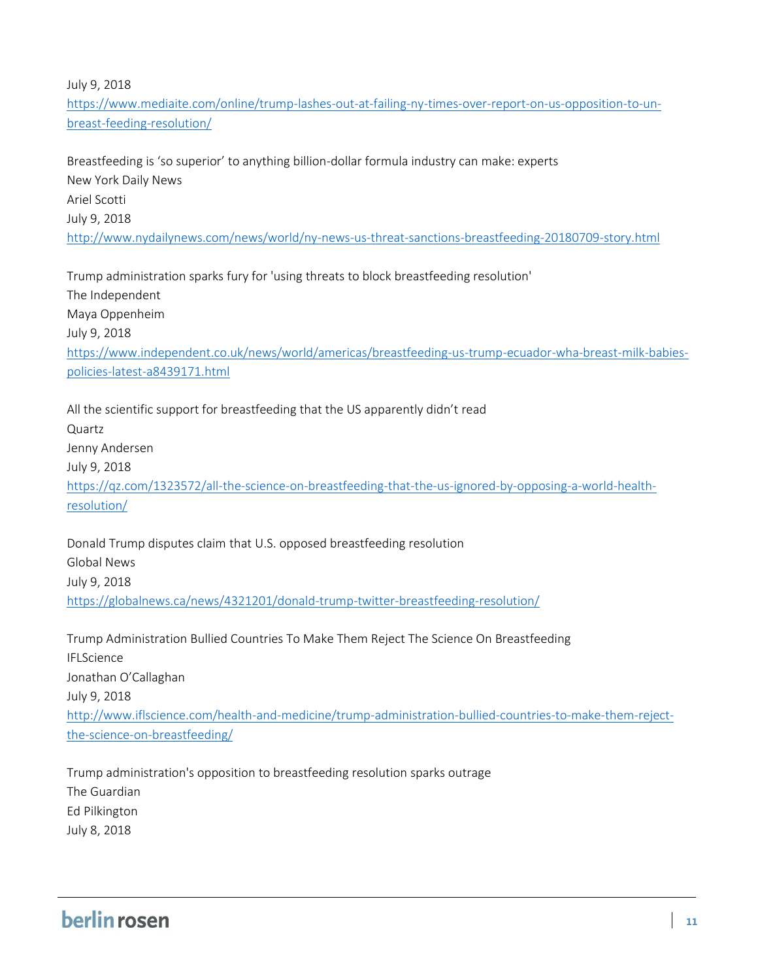July 9, 2018

[https://www.mediaite.com/online/trump-lashes-out-at-failing-ny-times-over-report-on-us-opposition-to-un](https://www.mediaite.com/online/trump-lashes-out-at-failing-ny-times-over-report-on-us-opposition-to-un-breast-feeding-resolution/)[breast-feeding-resolution/](https://www.mediaite.com/online/trump-lashes-out-at-failing-ny-times-over-report-on-us-opposition-to-un-breast-feeding-resolution/)

Breastfeeding is 'so superior' to anything billion-dollar formula industry can make: experts New York Daily News Ariel Scotti July 9, 2018 <http://www.nydailynews.com/news/world/ny-news-us-threat-sanctions-breastfeeding-20180709-story.html>

Trump administration sparks fury for 'using threats to block breastfeeding resolution' The Independent Maya Oppenheim July 9, 2018 [https://www.independent.co.uk/news/world/americas/breastfeeding-us-trump-ecuador-wha-breast-milk-babies](https://www.independent.co.uk/news/world/americas/breastfeeding-us-trump-ecuador-wha-breast-milk-babies-policies-latest-a8439171.html)[policies-latest-a8439171.html](https://www.independent.co.uk/news/world/americas/breastfeeding-us-trump-ecuador-wha-breast-milk-babies-policies-latest-a8439171.html)

All the scientific support for breastfeeding that the US apparently didn't read Quartz Jenny Andersen July 9, 2018 [https://qz.com/1323572/all-the-science-on-breastfeeding-that-the-us-ignored-by-opposing-a-world-health](https://qz.com/1323572/all-the-science-on-breastfeeding-that-the-us-ignored-by-opposing-a-world-health-resolution/)[resolution/](https://qz.com/1323572/all-the-science-on-breastfeeding-that-the-us-ignored-by-opposing-a-world-health-resolution/)

Donald Trump disputes claim that U.S. opposed breastfeeding resolution Global News July 9, 2018 <https://globalnews.ca/news/4321201/donald-trump-twitter-breastfeeding-resolution/>

Trump Administration Bullied Countries To Make Them Reject The Science On Breastfeeding IFLScience Jonathan O'Callaghan July 9, 2018 [http://www.iflscience.com/health-and-medicine/trump-administration-bullied-countries-to-make-them-reject](http://www.iflscience.com/health-and-medicine/trump-administration-bullied-countries-to-make-them-reject-the-science-on-breastfeeding/)[the-science-on-breastfeeding/](http://www.iflscience.com/health-and-medicine/trump-administration-bullied-countries-to-make-them-reject-the-science-on-breastfeeding/)

Trump administration's opposition to breastfeeding resolution sparks outrage The Guardian Ed Pilkington July 8, 2018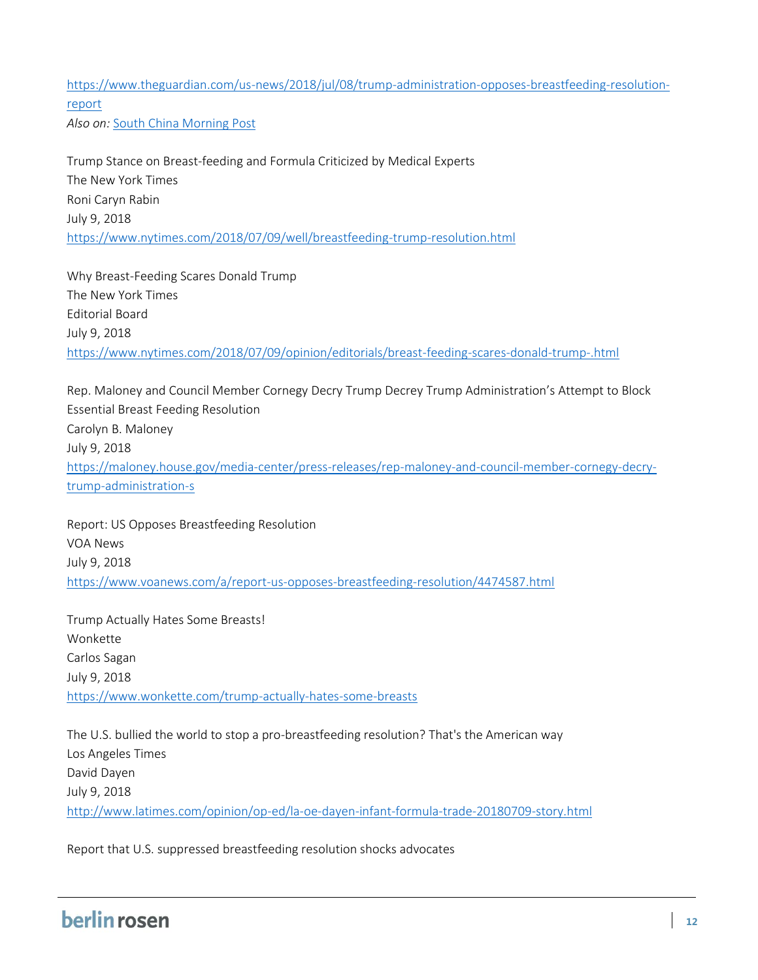[https://www.theguardian.com/us-news/2018/jul/08/trump-administration-opposes-breastfeeding-resolution](https://www.theguardian.com/us-news/2018/jul/08/trump-administration-opposes-breastfeeding-resolution-report)[report](https://www.theguardian.com/us-news/2018/jul/08/trump-administration-opposes-breastfeeding-resolution-report) *Also on:* [South China Morning Post](https://www.scmp.com/news/world/article/2154340/it-was-blackmail-us-bullied-other-countries-stop-who-promoting)

Trump Stance on Breast-feeding and Formula Criticized by Medical Experts The New York Times Roni Caryn Rabin July 9, 2018 <https://www.nytimes.com/2018/07/09/well/breastfeeding-trump-resolution.html>

Why Breast-Feeding Scares Donald Trump The New York Times Editorial Board July 9, 2018 <https://www.nytimes.com/2018/07/09/opinion/editorials/breast-feeding-scares-donald-trump-.html>

Rep. Maloney and Council Member Cornegy Decry Trump Decrey Trump Administration's Attempt to Block Essential Breast Feeding Resolution Carolyn B. Maloney July 9, 2018 [https://maloney.house.gov/media-center/press-releases/rep-maloney-and-council-member-cornegy-decry](https://maloney.house.gov/media-center/press-releases/rep-maloney-and-council-member-cornegy-decry-trump-administration-s)[trump-administration-s](https://maloney.house.gov/media-center/press-releases/rep-maloney-and-council-member-cornegy-decry-trump-administration-s)

Report: US Opposes Breastfeeding Resolution VOA News July 9, 2018 <https://www.voanews.com/a/report-us-opposes-breastfeeding-resolution/4474587.html>

Trump Actually Hates Some Breasts! Wonkette Carlos Sagan July 9, 2018 <https://www.wonkette.com/trump-actually-hates-some-breasts>

The U.S. bullied the world to stop a pro-breastfeeding resolution? That's the American way Los Angeles Times David Dayen July 9, 2018 <http://www.latimes.com/opinion/op-ed/la-oe-dayen-infant-formula-trade-20180709-story.html>

Report that U.S. suppressed breastfeeding resolution shocks advocates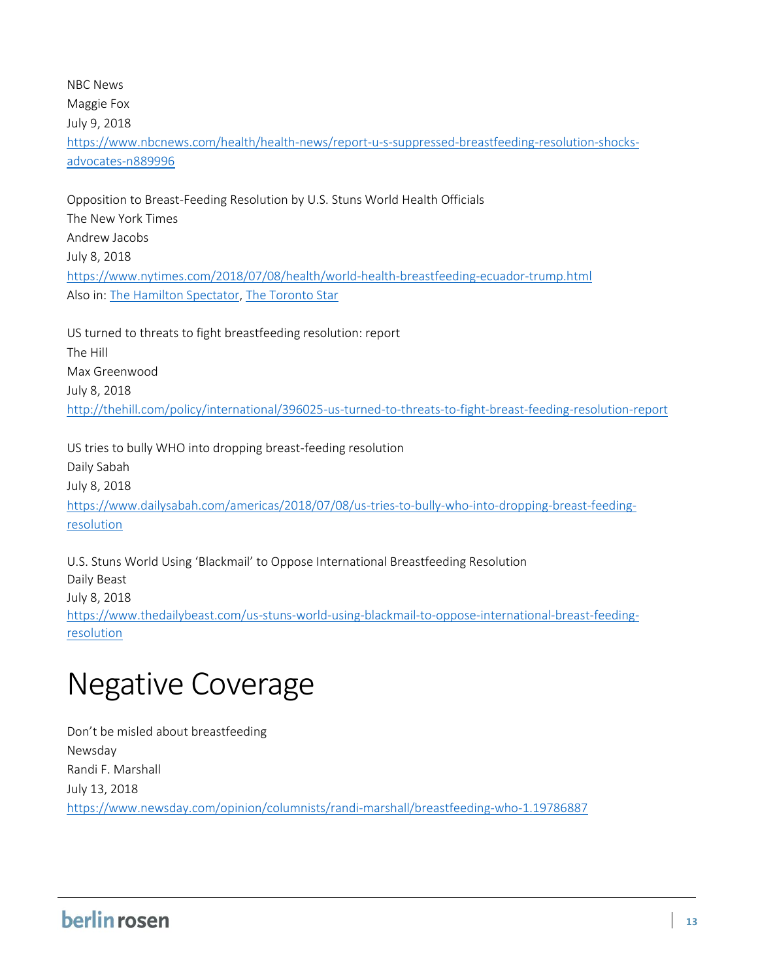NBC News Maggie Fox July 9, 2018 [https://www.nbcnews.com/health/health-news/report-u-s-suppressed-breastfeeding-resolution-shocks](https://www.nbcnews.com/health/health-news/report-u-s-suppressed-breastfeeding-resolution-shocks-advocates-n889996)[advocates-n889996](https://www.nbcnews.com/health/health-news/report-u-s-suppressed-breastfeeding-resolution-shocks-advocates-n889996)

Opposition to Breast-Feeding Resolution by U.S. Stuns World Health Officials The New York Times Andrew Jacobs July 8, 2018 <https://www.nytimes.com/2018/07/08/health/world-health-breastfeeding-ecuador-trump.html> Also in[: The Hamilton Spectator,](https://www.thespec.com/news-story/8730133-u-s-opposition-to-breastfeeding-resolution-stuns-world-health-officials/) [The Toronto Star](https://www.thestar.com/news/world/2018/07/08/world-health-officials-stunned-at-us-opposition-to-breastfeeding-resolution.html)

US turned to threats to fight breastfeeding resolution: report The Hill Max Greenwood July 8, 2018 <http://thehill.com/policy/international/396025-us-turned-to-threats-to-fight-breast-feeding-resolution-report>

US tries to bully WHO into dropping breast-feeding resolution Daily Sabah July 8, 2018 [https://www.dailysabah.com/americas/2018/07/08/us-tries-to-bully-who-into-dropping-breast-feeding](https://www.dailysabah.com/americas/2018/07/08/us-tries-to-bully-who-into-dropping-breast-feeding-resolution)[resolution](https://www.dailysabah.com/americas/2018/07/08/us-tries-to-bully-who-into-dropping-breast-feeding-resolution)

U.S. Stuns World Using 'Blackmail' to Oppose International Breastfeeding Resolution Daily Beast July 8, 2018 [https://www.thedailybeast.com/us-stuns-world-using-blackmail-to-oppose-international-breast-feeding](https://www.thedailybeast.com/us-stuns-world-using-blackmail-to-oppose-international-breast-feeding-resolution)[resolution](https://www.thedailybeast.com/us-stuns-world-using-blackmail-to-oppose-international-breast-feeding-resolution) 

## Negative Coverage

Don't be misled about breastfeeding Newsday Randi F. Marshall July 13, 2018 <https://www.newsday.com/opinion/columnists/randi-marshall/breastfeeding-who-1.19786887>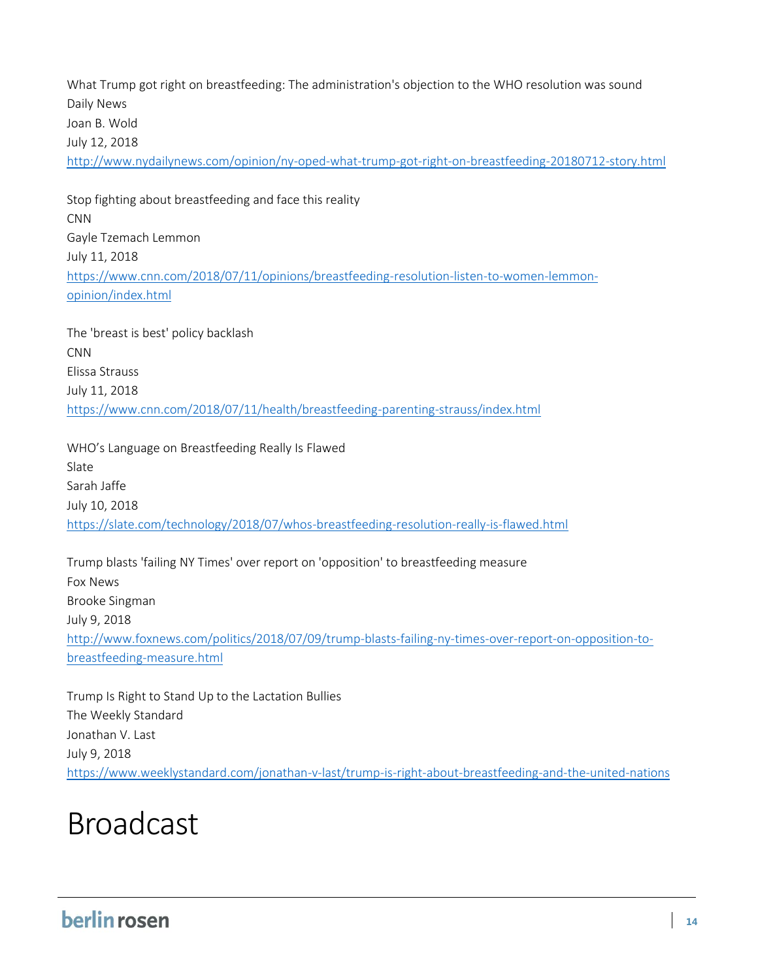What Trump got right on breastfeeding: The administration's objection to the WHO resolution was sound Daily News Joan B. Wold July 12, 2018 <http://www.nydailynews.com/opinion/ny-oped-what-trump-got-right-on-breastfeeding-20180712-story.html>

Stop fighting about breastfeeding and face this reality CNN Gayle Tzemach Lemmon July 11, 2018 [https://www.cnn.com/2018/07/11/opinions/breastfeeding-resolution-listen-to-women-lemmon](https://www.cnn.com/2018/07/11/opinions/breastfeeding-resolution-listen-to-women-lemmon-opinion/index.html)[opinion/index.html](https://www.cnn.com/2018/07/11/opinions/breastfeeding-resolution-listen-to-women-lemmon-opinion/index.html)

The 'breast is best' policy backlash CNN Elissa Strauss July 11, 2018 <https://www.cnn.com/2018/07/11/health/breastfeeding-parenting-strauss/index.html>

WHO's Language on Breastfeeding Really Is Flawed Slate Sarah Jaffe July 10, 2018 <https://slate.com/technology/2018/07/whos-breastfeeding-resolution-really-is-flawed.html>

Trump blasts 'failing NY Times' over report on 'opposition' to breastfeeding measure Fox News Brooke Singman July 9, 2018 [http://www.foxnews.com/politics/2018/07/09/trump-blasts-failing-ny-times-over-report-on-opposition-to](http://www.foxnews.com/politics/2018/07/09/trump-blasts-failing-ny-times-over-report-on-opposition-to-breastfeeding-measure.html)[breastfeeding-measure.html](http://www.foxnews.com/politics/2018/07/09/trump-blasts-failing-ny-times-over-report-on-opposition-to-breastfeeding-measure.html)

Trump Is Right to Stand Up to the Lactation Bullies The Weekly Standard Jonathan V. Last July 9, 2018 <https://www.weeklystandard.com/jonathan-v-last/trump-is-right-about-breastfeeding-and-the-united-nations>

### Broadcast